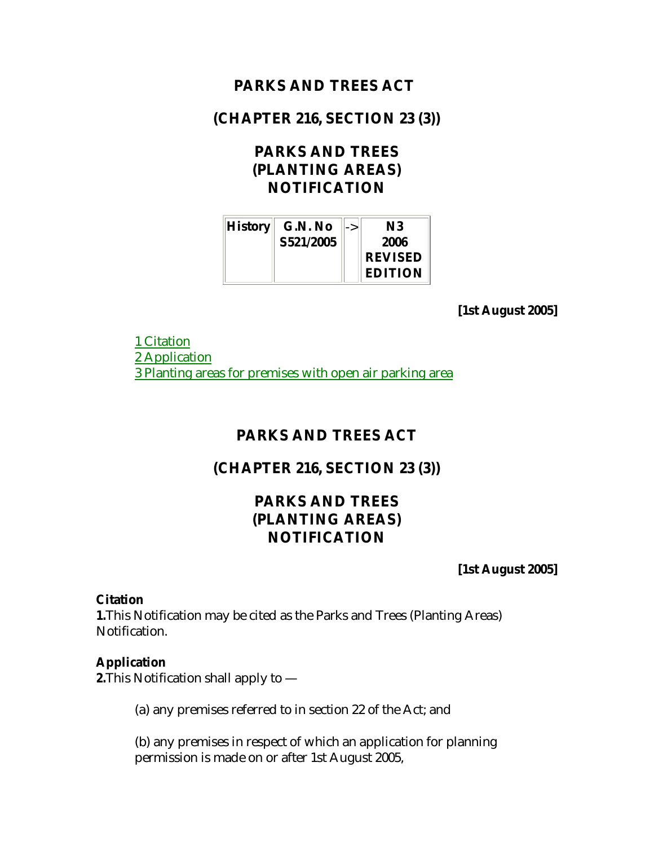## **PARKS AND TREES ACT**

## **(CHAPTER 216, SECTION 23 (3))**

# **PARKS AND TREES (PLANTING AREAS) NOTIFICATION**

| <b>History</b> | G.N. No   | -> | N3             |
|----------------|-----------|----|----------------|
|                | S521/2005 |    | 2006           |
|                |           |    | <b>REVISED</b> |
|                |           |    | <b>EDITION</b> |

**[1st August 2005]**

1 Citation 2 Application 3 Planting areas for premises with open air parking area

#### **PARKS AND TREES ACT**

### **(CHAPTER 216, SECTION 23 (3))**

# **PARKS AND TREES (PLANTING AREAS) NOTIFICATION**

**[1st August 2005]**

#### **Citation**

**1.**This Notification may be cited as the Parks and Trees (Planting Areas) Notification.

#### **Application**

**2.**This Notification shall apply to —

(a) any premises referred to in section 22 of the Act; and

(b) any premises in respect of which an application for planning permission is made on or after 1st August 2005,